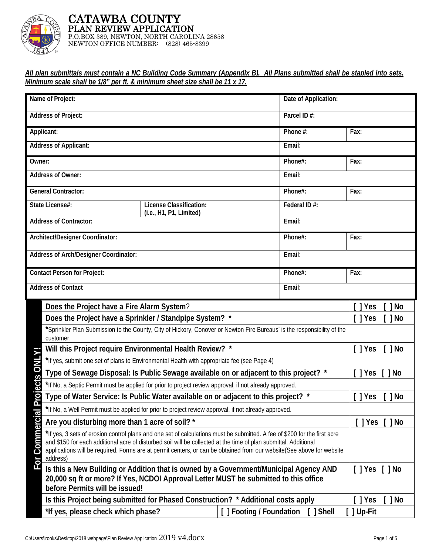

| All plan submittals must contain a NC Building Code Summary (Appendix B). All Plans submitted shall be stapled into sets. |  |
|---------------------------------------------------------------------------------------------------------------------------|--|
| Minimum scale shall be 1/8" per ft. & minimum sheet size shall be 11 x 17.                                                |  |

|                                                        | Name of Project:<br>Date of Application:                                                                                                                                                                                                                                                                                                                                          |      |                                  |         |                         |
|--------------------------------------------------------|-----------------------------------------------------------------------------------------------------------------------------------------------------------------------------------------------------------------------------------------------------------------------------------------------------------------------------------------------------------------------------------|------|----------------------------------|---------|-------------------------|
| <b>Address of Project:</b><br>Parcel ID#:              |                                                                                                                                                                                                                                                                                                                                                                                   |      |                                  |         |                         |
| Applicant:<br>Phone #:                                 |                                                                                                                                                                                                                                                                                                                                                                                   | Fax: |                                  |         |                         |
| <b>Address of Applicant:</b><br>Email:                 |                                                                                                                                                                                                                                                                                                                                                                                   |      |                                  |         |                         |
|                                                        | Phone#:<br>Owner:                                                                                                                                                                                                                                                                                                                                                                 |      | Fax:                             |         |                         |
|                                                        | <b>Address of Owner:</b><br>Email:                                                                                                                                                                                                                                                                                                                                                |      |                                  |         |                         |
| <b>General Contractor:</b><br>Phone#:                  |                                                                                                                                                                                                                                                                                                                                                                                   | Fax: |                                  |         |                         |
|                                                        | State License#:<br>License Classification:<br>Federal ID#:<br>(i.e., H1, P1, Limited)                                                                                                                                                                                                                                                                                             |      |                                  |         |                         |
| <b>Address of Contractor:</b><br>Email:                |                                                                                                                                                                                                                                                                                                                                                                                   |      |                                  |         |                         |
| Architect/Designer Coordinator:<br>Phone#:             |                                                                                                                                                                                                                                                                                                                                                                                   | Fax: |                                  |         |                         |
| <b>Address of Arch/Designer Coordinator:</b><br>Email: |                                                                                                                                                                                                                                                                                                                                                                                   |      |                                  |         |                         |
|                                                        | <b>Contact Person for Project:</b>                                                                                                                                                                                                                                                                                                                                                |      |                                  | Phone#: | Fax:                    |
| <b>Address of Contact</b><br>Email:                    |                                                                                                                                                                                                                                                                                                                                                                                   |      |                                  |         |                         |
|                                                        | Does the Project have a Fire Alarm System?                                                                                                                                                                                                                                                                                                                                        |      |                                  |         | [ ] Yes<br>[ ] No       |
|                                                        | Does the Project have a Sprinkler / Standpipe System? *                                                                                                                                                                                                                                                                                                                           |      |                                  |         | [ ] Yes<br>$[ ]$ No     |
|                                                        | *Sprinkler Plan Submission to the County, City of Hickory, Conover or Newton Fire Bureaus' is the responsibility of the<br>customer.                                                                                                                                                                                                                                              |      |                                  |         |                         |
|                                                        | Will this Project require Environmental Health Review? *                                                                                                                                                                                                                                                                                                                          |      |                                  |         | ] Yes<br>No             |
| <b>IXTNO</b>                                           | *If yes, submit one set of plans to Environmental Health with appropriate fee (see Page 4)                                                                                                                                                                                                                                                                                        |      |                                  |         |                         |
|                                                        | Type of Sewage Disposal: Is Public Sewage available on or adjacent to this project? *                                                                                                                                                                                                                                                                                             |      |                                  |         | $[$ ] Yes<br>$[$ ] No   |
| rojects                                                | *If No, a Septic Permit must be applied for prior to project review approval, if not already approved.                                                                                                                                                                                                                                                                            |      |                                  |         |                         |
|                                                        | Type of Water Service: Is Public Water available on or adjacent to this project? *                                                                                                                                                                                                                                                                                                |      |                                  |         | $[$ ] Yes<br>$[ ]$ No   |
|                                                        | *If No, a Well Permit must be applied for prior to project review approval, if not already approved.                                                                                                                                                                                                                                                                              |      |                                  |         |                         |
|                                                        | Are you disturbing more than 1 acre of soil? *                                                                                                                                                                                                                                                                                                                                    |      |                                  |         | [ ] Yes<br>[ ] No       |
| Commercial<br>For                                      | If yes, 3 sets of erosion control plans and one set of calculations must be submitted. A fee of \$200 for the first acre<br>and \$150 for each additional acre of disturbed soil will be collected at the time of plan submittal. Additional<br>applications will be required. Forms are at permit centers, or can be obtained from our website(See above for website<br>address) |      |                                  |         |                         |
|                                                        | Is this a New Building or Addition that is owned by a Government/Municipal Agency AND<br>20,000 sq ft or more? If Yes, NCDOI Approval Letter MUST be submitted to this office<br>before Permits will be issued!                                                                                                                                                                   |      | [ ] Yes [ ] No                   |         |                         |
|                                                        | Is this Project being submitted for Phased Construction? * Additional costs apply                                                                                                                                                                                                                                                                                                 |      |                                  |         | $[$ ] Yes<br>$[$ $]$ No |
|                                                        | *If yes, please check which phase?                                                                                                                                                                                                                                                                                                                                                |      | [] Footing / Foundation [] Shell |         | [] Up-Fit               |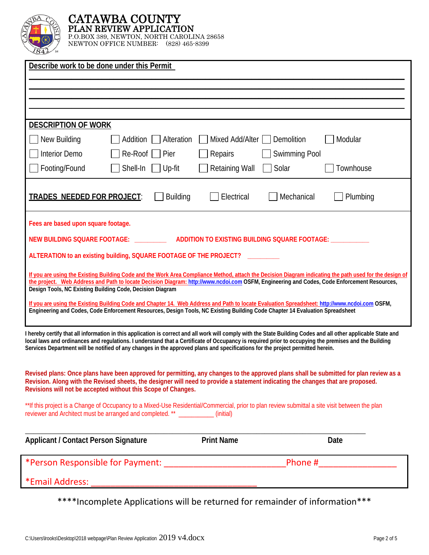

# **CATAWBA COUNTY<br>PLAN REVIEW APPLICATION**<br>p.o.box 389, newton, north carolina 28658

NEWTON OFFICE NUMBER: (828) 465-8399

| Describe work to be done under this Permit                                                                                                                                                                                                                                                                                                                                                                                                                                                                                                                                                                                                           |                                                           |                      |                                                                                                               |  |
|------------------------------------------------------------------------------------------------------------------------------------------------------------------------------------------------------------------------------------------------------------------------------------------------------------------------------------------------------------------------------------------------------------------------------------------------------------------------------------------------------------------------------------------------------------------------------------------------------------------------------------------------------|-----------------------------------------------------------|----------------------|---------------------------------------------------------------------------------------------------------------|--|
|                                                                                                                                                                                                                                                                                                                                                                                                                                                                                                                                                                                                                                                      |                                                           |                      |                                                                                                               |  |
|                                                                                                                                                                                                                                                                                                                                                                                                                                                                                                                                                                                                                                                      |                                                           |                      |                                                                                                               |  |
| <b>DESCRIPTION OF WORK</b>                                                                                                                                                                                                                                                                                                                                                                                                                                                                                                                                                                                                                           |                                                           |                      |                                                                                                               |  |
| New Building<br>Alteration<br>Addition                                                                                                                                                                                                                                                                                                                                                                                                                                                                                                                                                                                                               | Mixed Add/Alter                                           | Demolition           | Modular                                                                                                       |  |
| <b>Interior Demo</b><br>Re-Roof<br>Pier                                                                                                                                                                                                                                                                                                                                                                                                                                                                                                                                                                                                              | Repairs                                                   | <b>Swimming Pool</b> |                                                                                                               |  |
| Footing/Found<br>Shell-In<br>Up-fit                                                                                                                                                                                                                                                                                                                                                                                                                                                                                                                                                                                                                  | <b>Retaining Wall</b>                                     | Solar                | Townhouse                                                                                                     |  |
| <b>Building</b><br><b>TRADES NEEDED FOR PROJECT:</b>                                                                                                                                                                                                                                                                                                                                                                                                                                                                                                                                                                                                 | Electrical                                                | Mechanical           | Plumbing                                                                                                      |  |
| Fees are based upon square footage.                                                                                                                                                                                                                                                                                                                                                                                                                                                                                                                                                                                                                  |                                                           |                      |                                                                                                               |  |
| NEW BUILDING SQUARE FOOTAGE: _________                                                                                                                                                                                                                                                                                                                                                                                                                                                                                                                                                                                                               | ADDITION TO EXISTING BUILDING SQUARE FOOTAGE: ___________ |                      |                                                                                                               |  |
| ALTERATION to an existing building, SQUARE FOOTAGE OF THE PROJECT?                                                                                                                                                                                                                                                                                                                                                                                                                                                                                                                                                                                   |                                                           |                      |                                                                                                               |  |
| If you are using the Existing Building Code and the Work Area Compliance Method, attach the Decision Diagram indicating the path used for the design of<br>the project. Web Address and Path to locate Decision Diagram: http://www.ncdoi.com OSFM, Engineering and Codes, Code Enforcement Resources,<br>Design Tools, NC Existing Building Code, Decision Diagram<br>If you are using the Existing Building Code and Chapter 14. Web Address and Path to locate Evaluation Spreadsheet: http://www.ncdoi.com OSFM,<br>Engineering and Codes, Code Enforcement Resources, Design Tools, NC Existing Building Code Chapter 14 Evaluation Spreadsheet |                                                           |                      |                                                                                                               |  |
| I hereby certify that all information in this application is correct and all work will comply with the State Building Codes and all other applicable State and<br>local laws and ordinances and regulations. I understand that a Certificate of Occupancy is required prior to occupying the premises and the Building<br>Services Department will be notified of any changes in the approved plans and specifications for the project permitted herein.                                                                                                                                                                                             |                                                           |                      |                                                                                                               |  |
| Revised plans: Once plans have been approved for permitting, any changes to the approved plans shall be submitted for plan review as a<br>Revision. Along with the Revised sheets, the designer will need to provide a statement indicating the changes that are proposed.<br>Revisions will not be accepted without this Scope of Changes.                                                                                                                                                                                                                                                                                                          |                                                           |                      |                                                                                                               |  |
| **If this project is a Change of Occupancy to a Mixed-Use Residential/Commercial, prior to plan review submittal a site visit between the plan<br>reviewer and Architect must be arranged and completed. ** __________ (initial)                                                                                                                                                                                                                                                                                                                                                                                                                     |                                                           |                      |                                                                                                               |  |
| <b>Applicant / Contact Person Signature</b>                                                                                                                                                                                                                                                                                                                                                                                                                                                                                                                                                                                                          | <b>Print Name</b>                                         |                      | Date                                                                                                          |  |
|                                                                                                                                                                                                                                                                                                                                                                                                                                                                                                                                                                                                                                                      |                                                           |                      | Phone # 2009 and 2009 and 2009 and 2009 and 2009 and 2009 and 2009 and 2009 and 2009 and 2009 and 2009 and 20 |  |
| *Email Address:                                                                                                                                                                                                                                                                                                                                                                                                                                                                                                                                                                                                                                      |                                                           |                      |                                                                                                               |  |
| ****Incomplete Applications will be returned for remainder of information***                                                                                                                                                                                                                                                                                                                                                                                                                                                                                                                                                                         |                                                           |                      |                                                                                                               |  |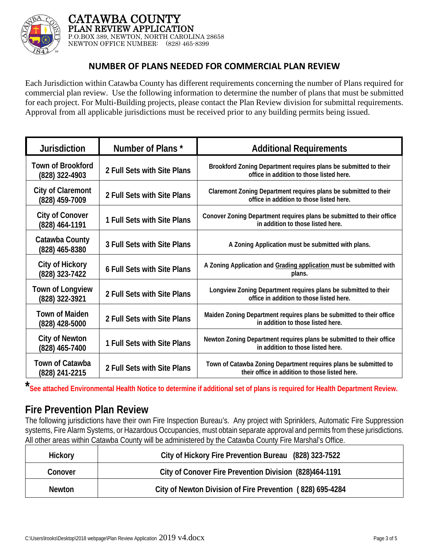

### **CATAWBA COUNTY<br>PLAN REVIEW APPLICATION<br>P.O.BOX 389, NEWTON, NORTH CAROLINA 28658** NEWTON OFFICE NUMBER: (828) 465-8399

### **NUMBER OF PLANS NEEDED FOR COMMERCIAL PLAN REVIEW**

Each Jurisdiction within Catawba County has different requirements concerning the number of Plans required for commercial plan review. Use the following information to determine the number of plans that must be submitted for each project. For Multi-Building projects, please contact the Plan Review division for submittal requirements. Approval from all applicable jurisdictions must be received prior to any building permits being issued.

| <b>Jurisdiction</b>                        | Number of Plans *           | <b>Additional Requirements</b>                                                                                     |
|--------------------------------------------|-----------------------------|--------------------------------------------------------------------------------------------------------------------|
| <b>Town of Brookford</b><br>(828) 322-4903 | 2 Full Sets with Site Plans | Brookford Zoning Department requires plans be submitted to their<br>office in addition to those listed here.       |
| <b>City of Claremont</b><br>(828) 459-7009 | 2 Full Sets with Site Plans | Claremont Zoning Department requires plans be submitted to their<br>office in addition to those listed here.       |
| <b>City of Conover</b><br>(828) 464-1191   | 1 Full Sets with Site Plans | Conover Zoning Department requires plans be submitted to their office<br>in addition to those listed here.         |
| Catawba County<br>(828) 465-8380           | 3 Full Sets with Site Plans | A Zoning Application must be submitted with plans.                                                                 |
| <b>City of Hickory</b><br>(828) 323-7422   | 6 Full Sets with Site Plans | A Zoning Application and Grading application must be submitted with<br>plans.                                      |
| Town of Longview<br>(828) 322-3921         | 2 Full Sets with Site Plans | Longview Zoning Department requires plans be submitted to their<br>office in addition to those listed here.        |
| <b>Town of Maiden</b><br>(828) 428-5000    | 2 Full Sets with Site Plans | Maiden Zoning Department requires plans be submitted to their office<br>in addition to those listed here.          |
| <b>City of Newton</b><br>(828) 465-7400    | 1 Full Sets with Site Plans | Newton Zoning Department requires plans be submitted to their office<br>in addition to those listed here.          |
| <b>Town of Catawba</b><br>(828) 241-2215   | 2 Full Sets with Site Plans | Town of Catawba Zoning Department requires plans be submitted to<br>their office in addition to those listed here. |

**\* See attached Environmental Health Notice to determine if additional set of plans is required for Health Department Review.**

### **Fire Prevention Plan Review**

The following jurisdictions have their own Fire Inspection Bureau's. Any project with Sprinklers, Automatic Fire Suppression systems, Fire Alarm Systems, or Hazardous Occupancies, must obtain separate approval and permits from these jurisdictions. All other areas within Catawba County will be administered by the Catawba County Fire Marshal's Office.

| <b>Hickory</b> | City of Hickory Fire Prevention Bureau (828) 323-7522     |
|----------------|-----------------------------------------------------------|
| Conover        | City of Conover Fire Prevention Division (828)464-1191    |
| <b>Newton</b>  | City of Newton Division of Fire Prevention (828) 695-4284 |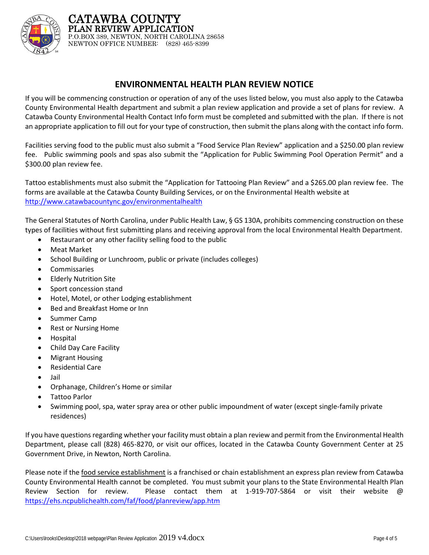

## CATAWBA COUNTY<br>PLAN REVIEW APPLICATION<br>P.O.BOX 389, NEWTON, NORTH CAROLINA 28658 NEWTON OFFICE NUMBER: (828) 465-8399

#### **ENVIRONMENTAL HEALTH PLAN REVIEW NOTICE**

If you will be commencing construction or operation of any of the uses listed below, you must also apply to the Catawba County Environmental Health department and submit a plan review application and provide a set of plans for review. A Catawba County Environmental Health Contact Info form must be completed and submitted with the plan. If there is not an appropriate application to fill out for your type of construction, then submit the plans along with the contact info form.

Facilities serving food to the public must also submit a "Food Service Plan Review" application and a \$250.00 plan review fee. Public swimming pools and spas also submit the "Application for Public Swimming Pool Operation Permit" and a \$300.00 plan review fee.

Tattoo establishments must also submit the "Application for Tattooing Plan Review" and a \$265.00 plan review fee. The forms are available at the Catawba County Building Services, or on the Environmental Health website at <http://www.catawbacountync.gov/environmentalhealth>

The General Statutes of North Carolina, under Public Health Law, § GS 130A, prohibits commencing construction on these types of facilities without first submitting plans and receiving approval from the local Environmental Health Department.

- Restaurant or any other facility selling food to the public
- Meat Market
- School Building or Lunchroom, public or private (includes colleges)
- Commissaries
- Elderly Nutrition Site
- Sport concession stand
- Hotel, Motel, or other Lodging establishment
- Bed and Breakfast Home or Inn
- Summer Camp
- Rest or Nursing Home
- Hospital
- Child Day Care Facility
- Migrant Housing
- Residential Care
- Jail
- Orphanage, Children's Home or similar
- Tattoo Parlor
- Swimming pool, spa, water spray area or other public impoundment of water (except single-family private residences)

If you have questions regarding whether your facility must obtain a plan review and permit from the Environmental Health Department, please call (828) 465-8270, or visit our offices, located in the Catawba County Government Center at 25 Government Drive, in Newton, North Carolina.

Please note if the food service establishment is a franchised or chain establishment an express plan review from Catawba County Environmental Health cannot be completed. You must submit your plans to the State Environmental Health Plan Review Section for review. Please contact them at 1-919-707-5864 or visit their website @ <https://ehs.ncpublichealth.com/faf/food/planreview/app.htm>